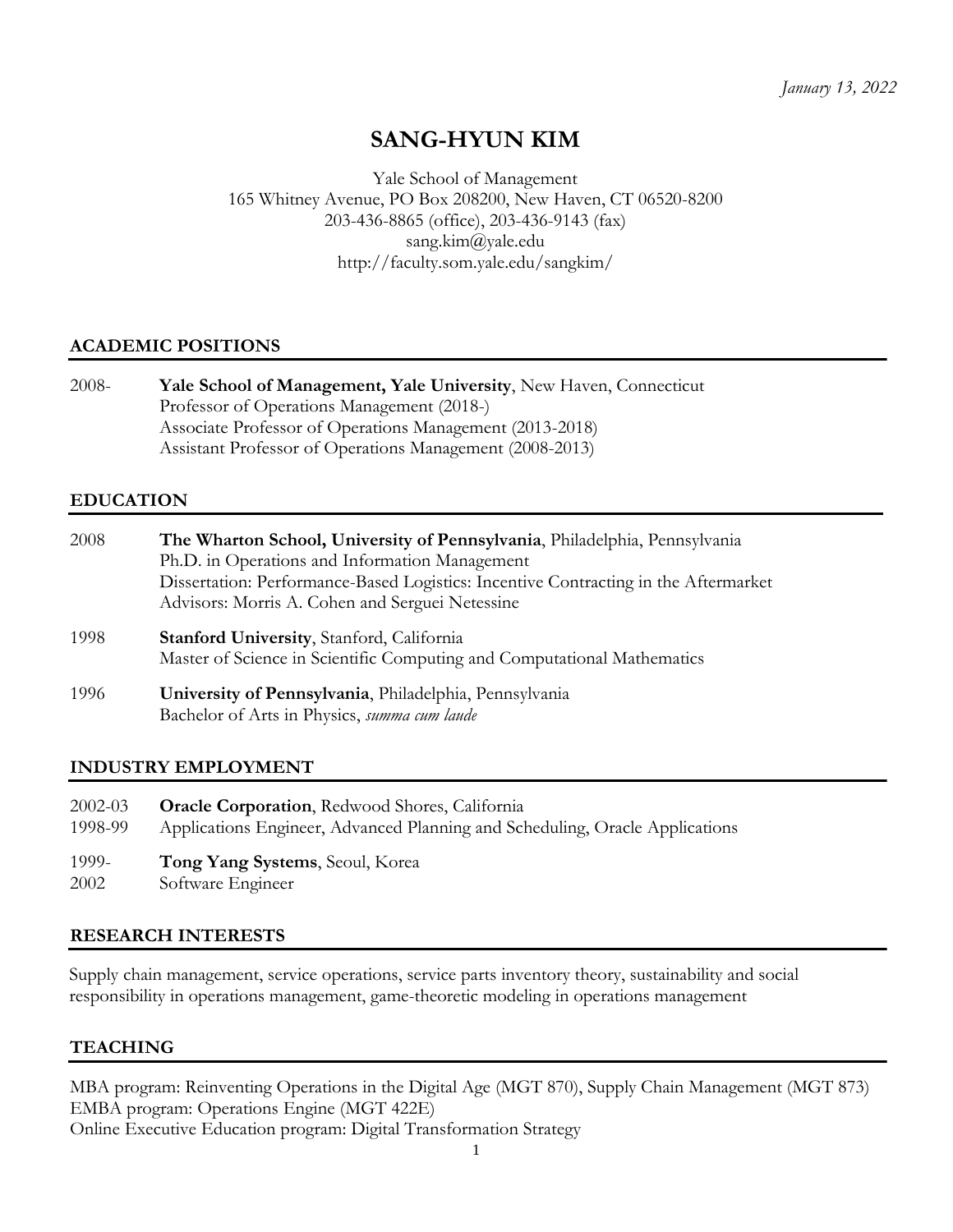# **SANG-HYUN KIM**

Yale School of Management 165 Whitney Avenue, PO Box 208200, New Haven, CT 06520-8200 203-436-8865 (office), 203-436-9143 (fax) sang.kim@yale.edu http://faculty.som.yale.edu/sangkim/

## **ACADEMIC POSITIONS**

| $2008 -$ | Yale School of Management, Yale University, New Haven, Connecticut |
|----------|--------------------------------------------------------------------|
|          | Professor of Operations Management (2018-)                         |
|          | Associate Professor of Operations Management (2013-2018)           |
|          | Assistant Professor of Operations Management (2008-2013)           |

## **EDUCATION**

| 2008 | The Wharton School, University of Pennsylvania, Philadelphia, Pennsylvania<br>Ph.D. in Operations and Information Management<br>Dissertation: Performance-Based Logistics: Incentive Contracting in the Aftermarket<br>Advisors: Morris A. Cohen and Serguei Netessine |
|------|------------------------------------------------------------------------------------------------------------------------------------------------------------------------------------------------------------------------------------------------------------------------|
| 1998 | <b>Stanford University, Stanford, California</b><br>Master of Science in Scientific Computing and Computational Mathematics                                                                                                                                            |
| 1996 | University of Pennsylvania, Philadelphia, Pennsylvania<br>Bachelor of Arts in Physics, summa cum laude                                                                                                                                                                 |

## **INDUSTRY EMPLOYMENT**

| $2002 - 03$ | <b>Oracle Corporation</b> , Redwood Shores, California                       |
|-------------|------------------------------------------------------------------------------|
| 1998-99     | Applications Engineer, Advanced Planning and Scheduling, Oracle Applications |

- 1999- **Tong Yang Systems**, Seoul, Korea
- 2002 Software Engineer

## **RESEARCH INTERESTS**

Supply chain management, service operations, service parts inventory theory, sustainability and social responsibility in operations management, game-theoretic modeling in operations management

## **TEACHING**

MBA program: Reinventing Operations in the Digital Age (MGT 870), Supply Chain Management (MGT 873) EMBA program: Operations Engine (MGT 422E) Online Executive Education program: Digital Transformation Strategy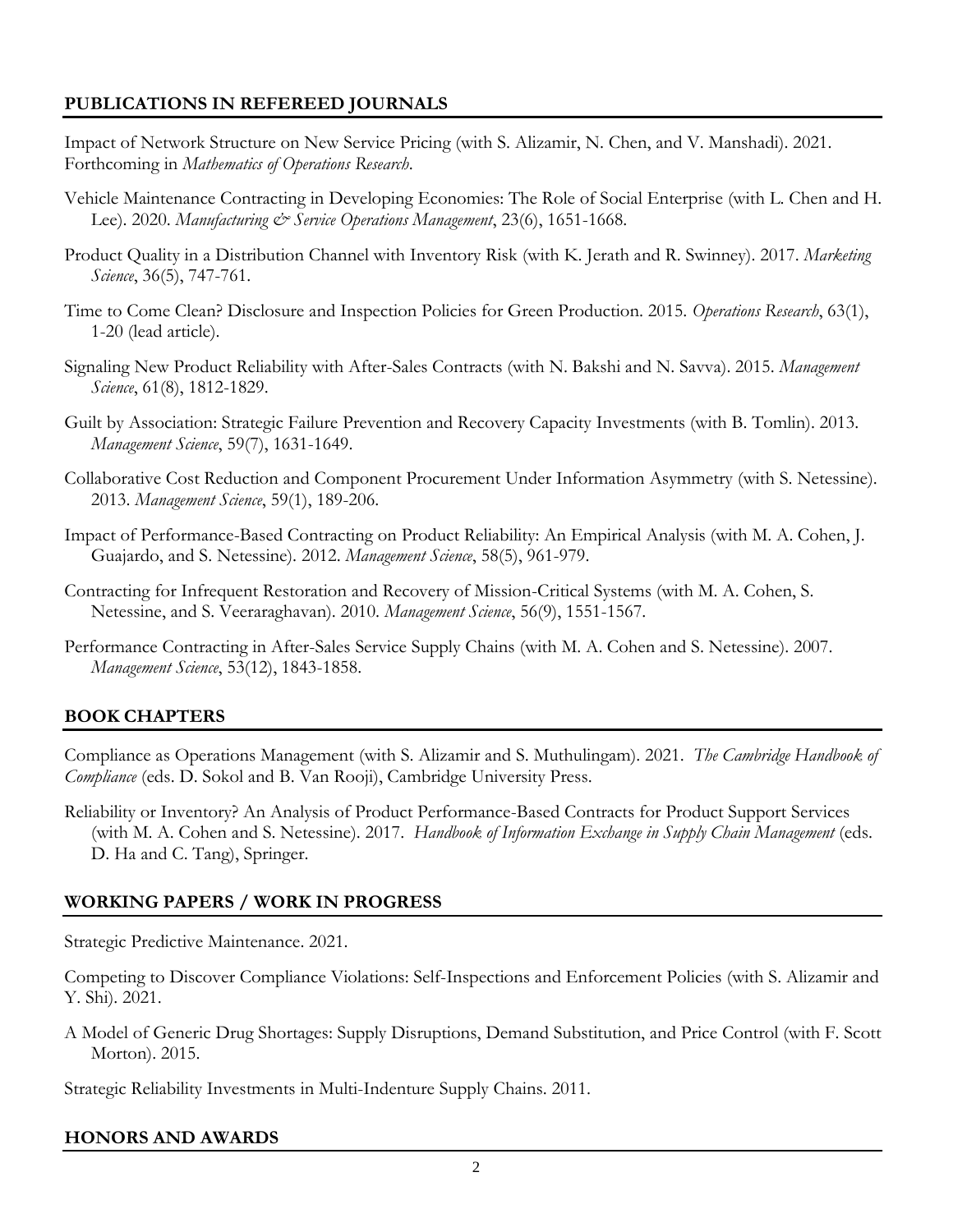# **PUBLICATIONS IN REFEREED JOURNALS**

- Impact of Network Structure on New Service Pricing (with S. Alizamir, N. Chen, and V. Manshadi). 2021. Forthcoming in *Mathematics of Operations Research*.
- Vehicle Maintenance Contracting in Developing Economies: The Role of Social Enterprise (with L. Chen and H. Lee). 2020. *Manufacturing & Service Operations Management*, 23(6), 1651-1668.
- Product Quality in a Distribution Channel with Inventory Risk (with K. Jerath and R. Swinney). 2017. *Marketing Science*, 36(5), 747-761.
- Time to Come Clean? Disclosure and Inspection Policies for Green Production. 2015. *Operations Research*, 63(1), 1-20 (lead article).
- Signaling New Product Reliability with After-Sales Contracts (with N. Bakshi and N. Savva). 2015. *Management Science*, 61(8), 1812-1829.
- Guilt by Association: Strategic Failure Prevention and Recovery Capacity Investments (with B. Tomlin). 2013. *Management Science*, 59(7), 1631-1649.
- Collaborative Cost Reduction and Component Procurement Under Information Asymmetry (with S. Netessine). 2013. *Management Science*, 59(1), 189-206.
- Impact of Performance-Based Contracting on Product Reliability: An Empirical Analysis (with M. A. Cohen, J. Guajardo, and S. Netessine). 2012. *Management Science*, 58(5), 961-979.
- Contracting for Infrequent Restoration and Recovery of Mission-Critical Systems (with M. A. Cohen, S. Netessine, and S. Veeraraghavan). 2010. *Management Science*, 56(9), 1551-1567.
- Performance Contracting in After-Sales Service Supply Chains (with M. A. Cohen and S. Netessine). 2007. *Management Science*, 53(12), 1843-1858.

## **BOOK CHAPTERS**

Compliance as Operations Management (with S. Alizamir and S. Muthulingam). 2021. *The Cambridge Handbook of Compliance* (eds. D. Sokol and B. Van Rooji), Cambridge University Press.

Reliability or Inventory? An Analysis of Product Performance-Based Contracts for Product Support Services (with M. A. Cohen and S. Netessine). 2017. *Handbook of Information Exchange in Supply Chain Management* (eds. D. Ha and C. Tang), Springer.

## **WORKING PAPERS / WORK IN PROGRESS**

Strategic Predictive Maintenance. 2021.

Competing to Discover Compliance Violations: Self-Inspections and Enforcement Policies (with S. Alizamir and Y. Shi). 2021.

A Model of Generic Drug Shortages: Supply Disruptions, Demand Substitution, and Price Control (with F. Scott Morton). 2015.

Strategic Reliability Investments in Multi-Indenture Supply Chains. 2011.

## **HONORS AND AWARDS**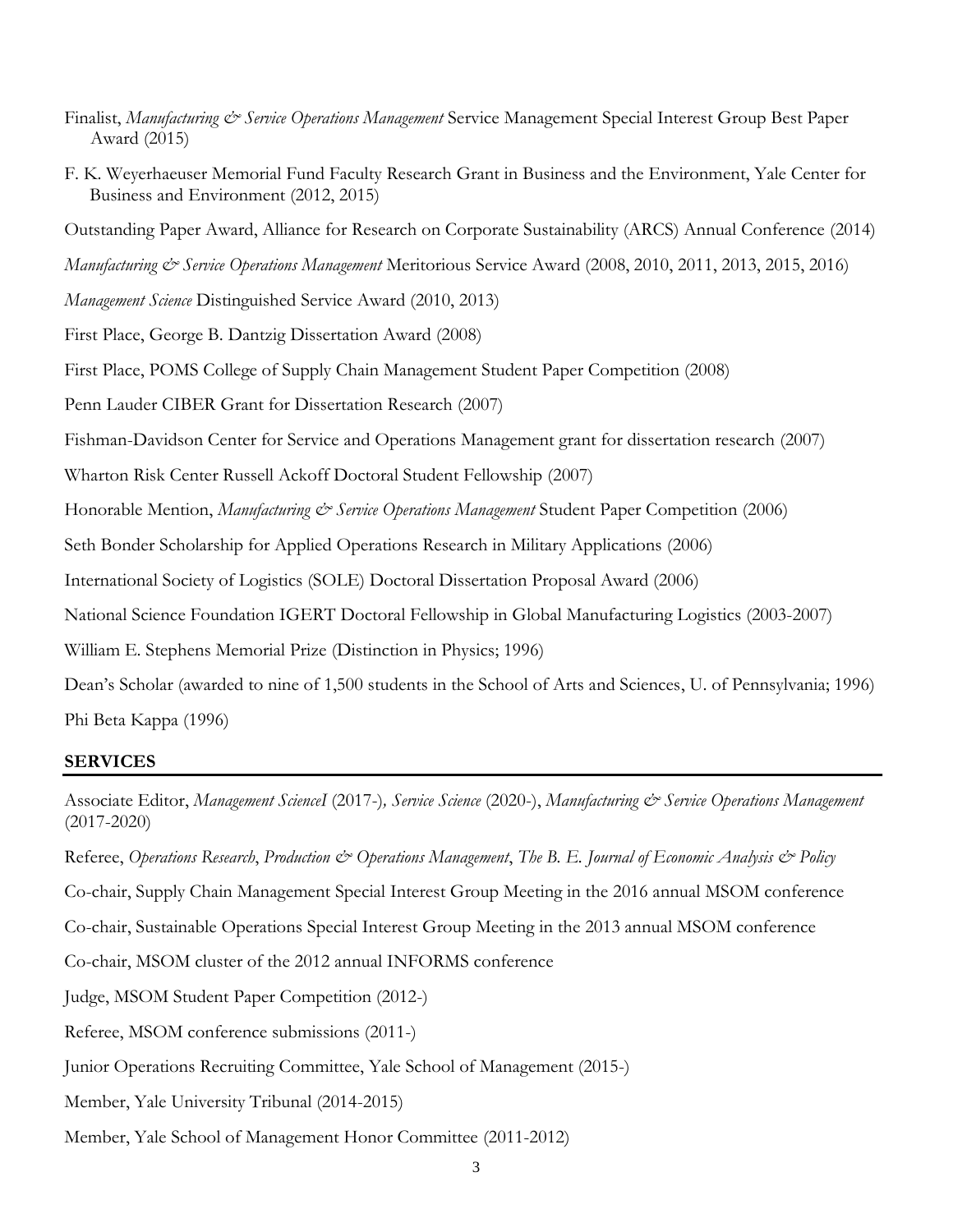- Finalist, *Manufacturing & Service Operations Management* Service Management Special Interest Group Best Paper Award (2015)
- F. K. Weyerhaeuser Memorial Fund Faculty Research Grant in Business and the Environment, Yale Center for Business and Environment (2012, 2015)

Outstanding Paper Award, Alliance for Research on Corporate Sustainability (ARCS) Annual Conference (2014)

*Manufacturing & Service Operations Management* Meritorious Service Award (2008, 2010, 2011, 2013, 2015, 2016)

*Management Science* Distinguished Service Award (2010, 2013)

First Place, George B. Dantzig Dissertation Award (2008)

First Place, POMS College of Supply Chain Management Student Paper Competition (2008)

Penn Lauder CIBER Grant for Dissertation Research (2007)

Fishman-Davidson Center for Service and Operations Management grant for dissertation research (2007)

Wharton Risk Center Russell Ackoff Doctoral Student Fellowship (2007)

Honorable Mention, *Manufacturing & Service Operations Management* Student Paper Competition (2006)

Seth Bonder Scholarship for Applied Operations Research in Military Applications (2006)

International Society of Logistics (SOLE) Doctoral Dissertation Proposal Award (2006)

National Science Foundation IGERT Doctoral Fellowship in Global Manufacturing Logistics (2003-2007)

William E. Stephens Memorial Prize (Distinction in Physics; 1996)

Dean's Scholar (awarded to nine of 1,500 students in the School of Arts and Sciences, U. of Pennsylvania; 1996) Phi Beta Kappa (1996)

## **SERVICES**

Associate Editor, *Management ScienceI* (2017-)*, Service Science* (2020-), *Manufacturing & Service Operations Management* (2017-2020)

Referee, *Operations Research*, *Production & Operations Management*, *The B. E. Journal of Economic Analysis & Policy*

Co-chair, Supply Chain Management Special Interest Group Meeting in the 2016 annual MSOM conference

Co-chair, Sustainable Operations Special Interest Group Meeting in the 2013 annual MSOM conference

Co-chair, MSOM cluster of the 2012 annual INFORMS conference

Judge, MSOM Student Paper Competition (2012-)

- Referee, MSOM conference submissions (2011-)
- Junior Operations Recruiting Committee, Yale School of Management (2015-)
- Member, Yale University Tribunal (2014-2015)
- Member, Yale School of Management Honor Committee (2011-2012)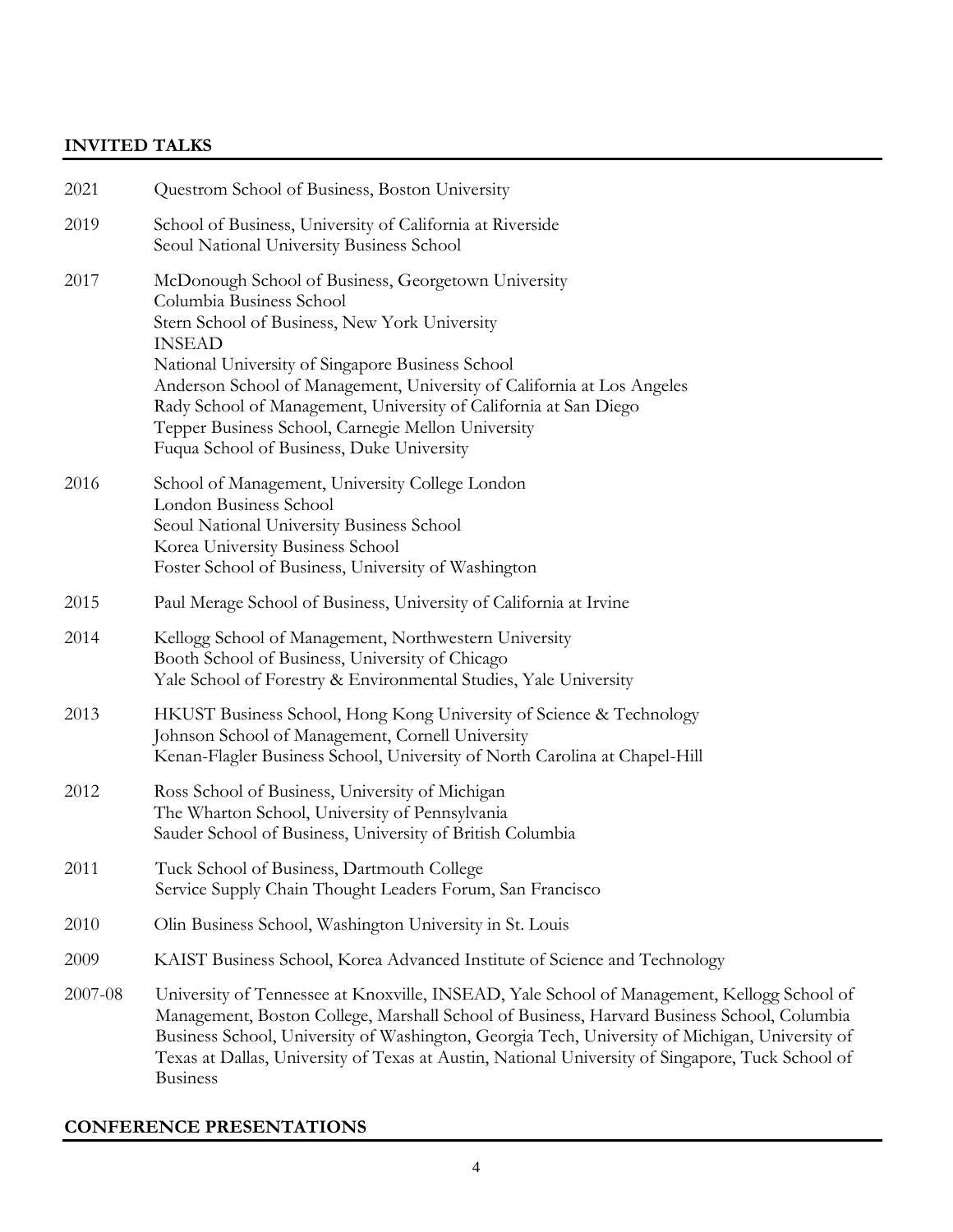## **INVITED TALKS**

| 2021    | Questrom School of Business, Boston University                                                                                                                                                                                                                                                                                                                                                                                                         |
|---------|--------------------------------------------------------------------------------------------------------------------------------------------------------------------------------------------------------------------------------------------------------------------------------------------------------------------------------------------------------------------------------------------------------------------------------------------------------|
| 2019    | School of Business, University of California at Riverside<br>Seoul National University Business School                                                                                                                                                                                                                                                                                                                                                 |
| 2017    | McDonough School of Business, Georgetown University<br>Columbia Business School<br>Stern School of Business, New York University<br><b>INSEAD</b><br>National University of Singapore Business School<br>Anderson School of Management, University of California at Los Angeles<br>Rady School of Management, University of California at San Diego<br>Tepper Business School, Carnegie Mellon University<br>Fuqua School of Business, Duke University |
| 2016    | School of Management, University College London<br>London Business School<br>Seoul National University Business School<br>Korea University Business School<br>Foster School of Business, University of Washington                                                                                                                                                                                                                                      |
| 2015    | Paul Merage School of Business, University of California at Irvine                                                                                                                                                                                                                                                                                                                                                                                     |
| 2014    | Kellogg School of Management, Northwestern University<br>Booth School of Business, University of Chicago<br>Yale School of Forestry & Environmental Studies, Yale University                                                                                                                                                                                                                                                                           |
| 2013    | HKUST Business School, Hong Kong University of Science & Technology<br>Johnson School of Management, Cornell University<br>Kenan-Flagler Business School, University of North Carolina at Chapel-Hill                                                                                                                                                                                                                                                  |
| 2012    | Ross School of Business, University of Michigan<br>The Wharton School, University of Pennsylvania<br>Sauder School of Business, University of British Columbia                                                                                                                                                                                                                                                                                         |
| 2011    | Tuck School of Business, Dartmouth College<br>Service Supply Chain Thought Leaders Forum, San Francisco                                                                                                                                                                                                                                                                                                                                                |
| 2010    | Olin Business School, Washington University in St. Louis                                                                                                                                                                                                                                                                                                                                                                                               |
| 2009    | KAIST Business School, Korea Advanced Institute of Science and Technology                                                                                                                                                                                                                                                                                                                                                                              |
| 2007-08 | University of Tennessee at Knoxville, INSEAD, Yale School of Management, Kellogg School of<br>Management, Boston College, Marshall School of Business, Harvard Business School, Columbia<br>Business School, University of Washington, Georgia Tech, University of Michigan, University of<br>Texas at Dallas, University of Texas at Austin, National University of Singapore, Tuck School of<br><b>Business</b>                                      |

## **CONFERENCE PRESENTATIONS**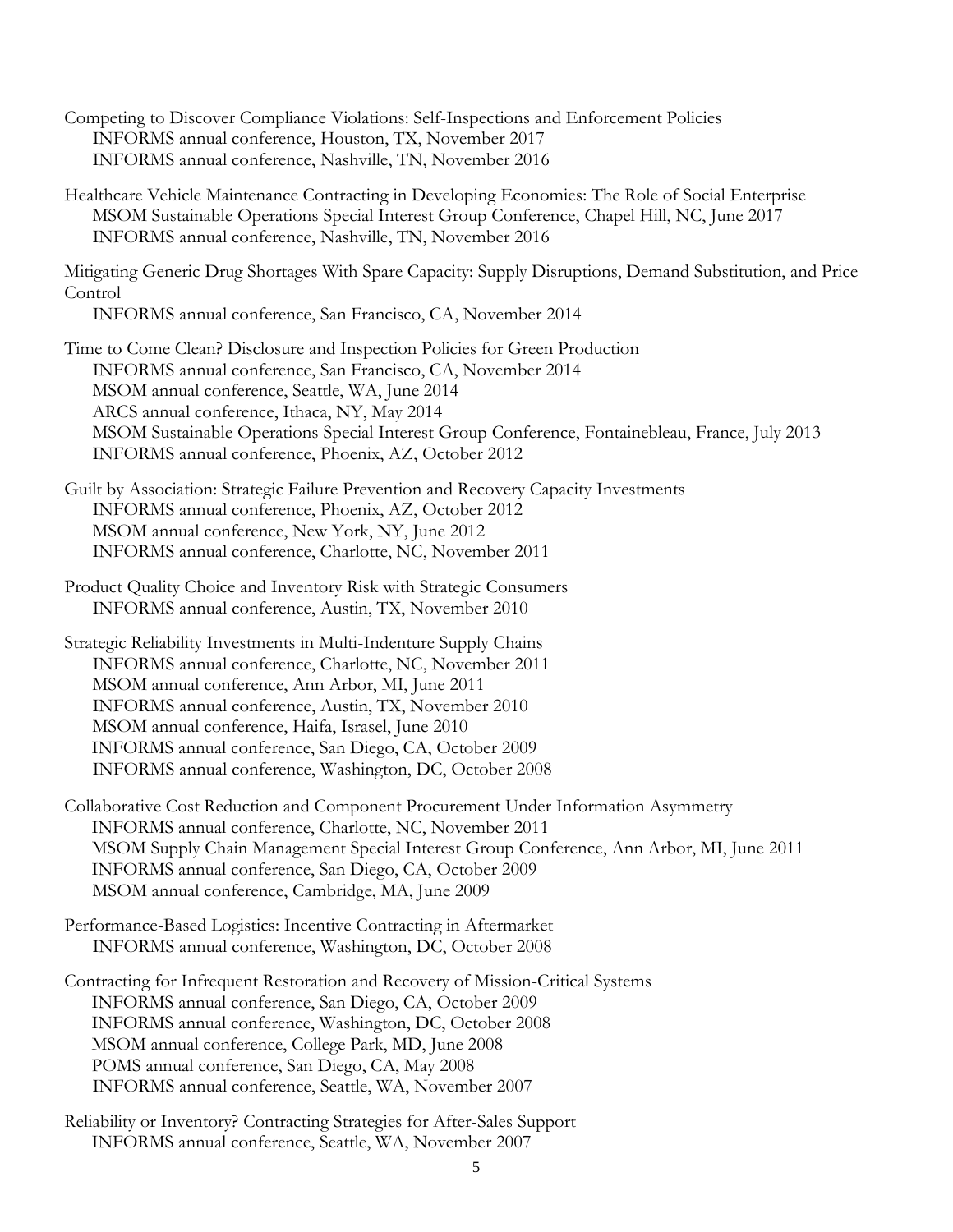- Competing to Discover Compliance Violations: Self-Inspections and Enforcement Policies INFORMS annual conference, Houston, TX, November 2017 INFORMS annual conference, Nashville, TN, November 2016
- Healthcare Vehicle Maintenance Contracting in Developing Economies: The Role of Social Enterprise MSOM Sustainable Operations Special Interest Group Conference, Chapel Hill, NC, June 2017 INFORMS annual conference, Nashville, TN, November 2016

Mitigating Generic Drug Shortages With Spare Capacity: Supply Disruptions, Demand Substitution, and Price Control

INFORMS annual conference, San Francisco, CA, November 2014

- Time to Come Clean? Disclosure and Inspection Policies for Green Production INFORMS annual conference, San Francisco, CA, November 2014 MSOM annual conference, Seattle, WA, June 2014 ARCS annual conference, Ithaca, NY, May 2014 MSOM Sustainable Operations Special Interest Group Conference, Fontainebleau, France, July 2013 INFORMS annual conference, Phoenix, AZ, October 2012
- Guilt by Association: Strategic Failure Prevention and Recovery Capacity Investments INFORMS annual conference, Phoenix, AZ, October 2012 MSOM annual conference, New York, NY, June 2012 INFORMS annual conference, Charlotte, NC, November 2011
- Product Quality Choice and Inventory Risk with Strategic Consumers INFORMS annual conference, Austin, TX, November 2010
- Strategic Reliability Investments in Multi-Indenture Supply Chains INFORMS annual conference, Charlotte, NC, November 2011 MSOM annual conference, Ann Arbor, MI, June 2011 INFORMS annual conference, Austin, TX, November 2010 MSOM annual conference, Haifa, Israsel, June 2010 INFORMS annual conference, San Diego, CA, October 2009 INFORMS annual conference, Washington, DC, October 2008
- Collaborative Cost Reduction and Component Procurement Under Information Asymmetry INFORMS annual conference, Charlotte, NC, November 2011 MSOM Supply Chain Management Special Interest Group Conference, Ann Arbor, MI, June 2011 INFORMS annual conference, San Diego, CA, October 2009 MSOM annual conference, Cambridge, MA, June 2009
- Performance-Based Logistics: Incentive Contracting in Aftermarket INFORMS annual conference, Washington, DC, October 2008

Contracting for Infrequent Restoration and Recovery of Mission-Critical Systems INFORMS annual conference, San Diego, CA, October 2009 INFORMS annual conference, Washington, DC, October 2008 MSOM annual conference, College Park, MD, June 2008 POMS annual conference, San Diego, CA, May 2008 INFORMS annual conference, Seattle, WA, November 2007

Reliability or Inventory? Contracting Strategies for After-Sales Support INFORMS annual conference, Seattle, WA, November 2007